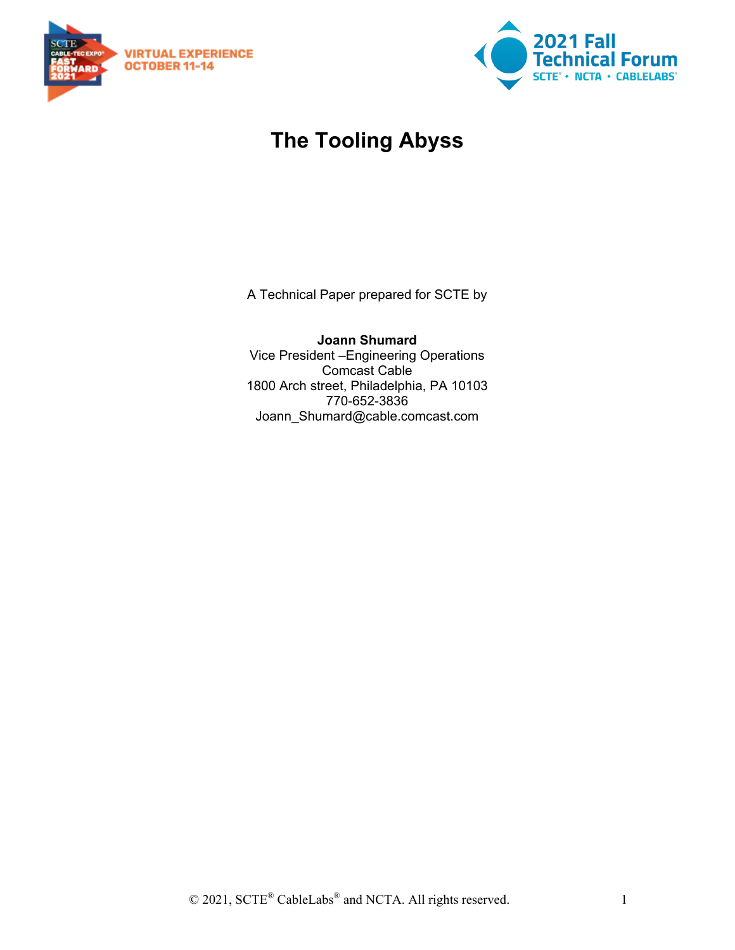



# **The Tooling Abyss**

A Technical Paper prepared for SCTE by

**Joann Shumard** Vice President –Engineering Operations Comcast Cable 1800 Arch street, Philadelphia, PA 10103 770-652-3836 Joann\_Shumard@cable.comcast.com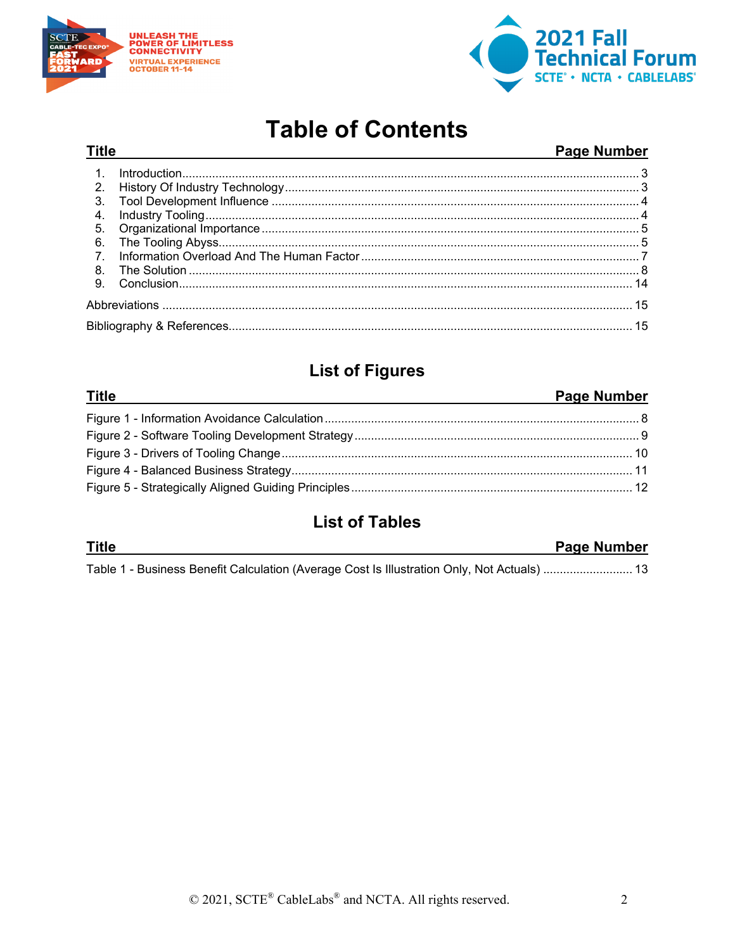

**Title** 



# **Table of Contents**

### Page Number

| $3_{-}$        |  |  |
|----------------|--|--|
|                |  |  |
|                |  |  |
|                |  |  |
| 7 <sub>1</sub> |  |  |
|                |  |  |
|                |  |  |
|                |  |  |
|                |  |  |

# **List of Figures**

| <b>Title</b><br><u> 1989 - Andrea Andrew Maria (h. 1989).</u> | <b>Page Number</b> |
|---------------------------------------------------------------|--------------------|
|                                                               |                    |
|                                                               |                    |
|                                                               |                    |
|                                                               |                    |
|                                                               |                    |

# **List of Tables**

| <b>Title</b>                                                                                    | <b>Page Number</b> |
|-------------------------------------------------------------------------------------------------|--------------------|
| 13. Table 1 - Business Benefit Calculation (Average Cost Is Illustration Only, Not Actuals)  13 |                    |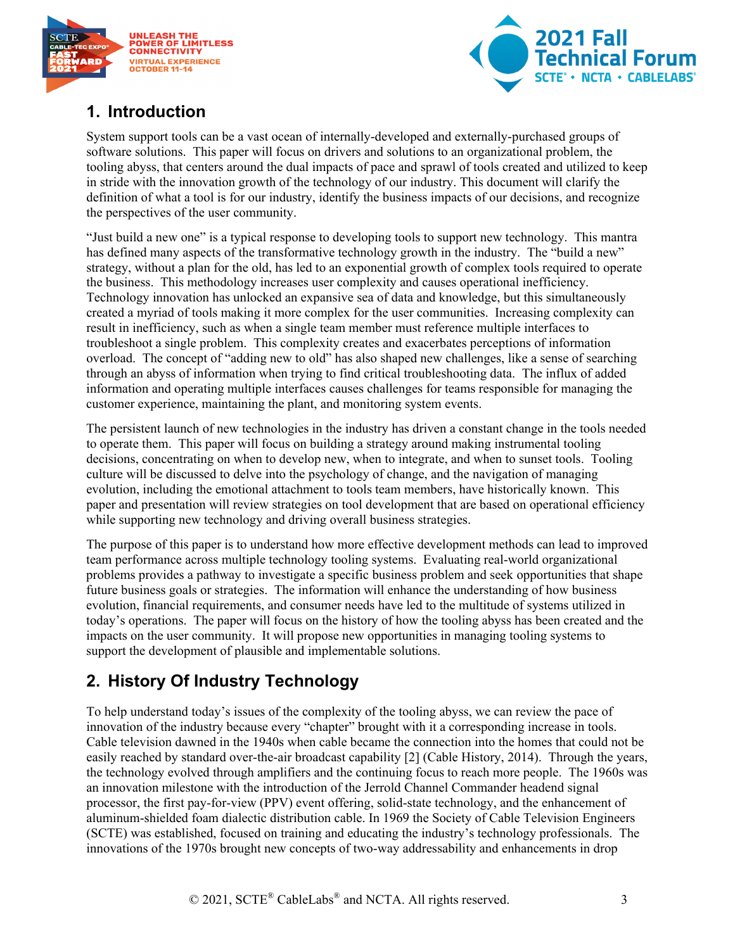



## <span id="page-2-0"></span>**1. Introduction**

System support tools can be a vast ocean of internally-developed and externally-purchased groups of software solutions. This paper will focus on drivers and solutions to an organizational problem, the tooling abyss, that centers around the dual impacts of pace and sprawl of tools created and utilized to keep in stride with the innovation growth of the technology of our industry. This document will clarify the definition of what a tool is for our industry, identify the business impacts of our decisions, and recognize the perspectives of the user community.

"Just build a new one" is a typical response to developing tools to support new technology. This mantra has defined many aspects of the transformative technology growth in the industry. The "build a new" strategy, without a plan for the old, has led to an exponential growth of complex tools required to operate the business. This methodology increases user complexity and causes operational inefficiency. Technology innovation has unlocked an expansive sea of data and knowledge, but this simultaneously created a myriad of tools making it more complex for the user communities. Increasing complexity can result in inefficiency, such as when a single team member must reference multiple interfaces to troubleshoot a single problem. This complexity creates and exacerbates perceptions of information overload. The concept of "adding new to old" has also shaped new challenges, like a sense of searching through an abyss of information when trying to find critical troubleshooting data. The influx of added information and operating multiple interfaces causes challenges for teams responsible for managing the customer experience, maintaining the plant, and monitoring system events.

The persistent launch of new technologies in the industry has driven a constant change in the tools needed to operate them. This paper will focus on building a strategy around making instrumental tooling decisions, concentrating on when to develop new, when to integrate, and when to sunset tools. Tooling culture will be discussed to delve into the psychology of change, and the navigation of managing evolution, including the emotional attachment to tools team members, have historically known. This paper and presentation will review strategies on tool development that are based on operational efficiency while supporting new technology and driving overall business strategies.

The purpose of this paper is to understand how more effective development methods can lead to improved team performance across multiple technology tooling systems. Evaluating real-world organizational problems provides a pathway to investigate a specific business problem and seek opportunities that shape future business goals or strategies. The information will enhance the understanding of how business evolution, financial requirements, and consumer needs have led to the multitude of systems utilized in today's operations. The paper will focus on the history of how the tooling abyss has been created and the impacts on the user community. It will propose new opportunities in managing tooling systems to support the development of plausible and implementable solutions.

# <span id="page-2-1"></span>**2. History Of Industry Technology**

To help understand today's issues of the complexity of the tooling abyss, we can review the pace of innovation of the industry because every "chapter" brought with it a corresponding increase in tools. Cable television dawned in the 1940s when cable became the connection into the homes that could not be easily reached by standard over-the-air broadcast capability [2] (Cable History, 2014). Through the years, the technology evolved through amplifiers and the continuing focus to reach more people. The 1960s was an innovation milestone with the introduction of the Jerrold Channel Commander headend signal processor, the first pay-for-view (PPV) event offering, solid-state technology, and the enhancement of aluminum-shielded foam dialectic distribution cable. In 1969 the Society of Cable Television Engineers (SCTE) was established, focused on training and educating the industry's technology professionals. The innovations of the 1970s brought new concepts of two-way addressability and enhancements in drop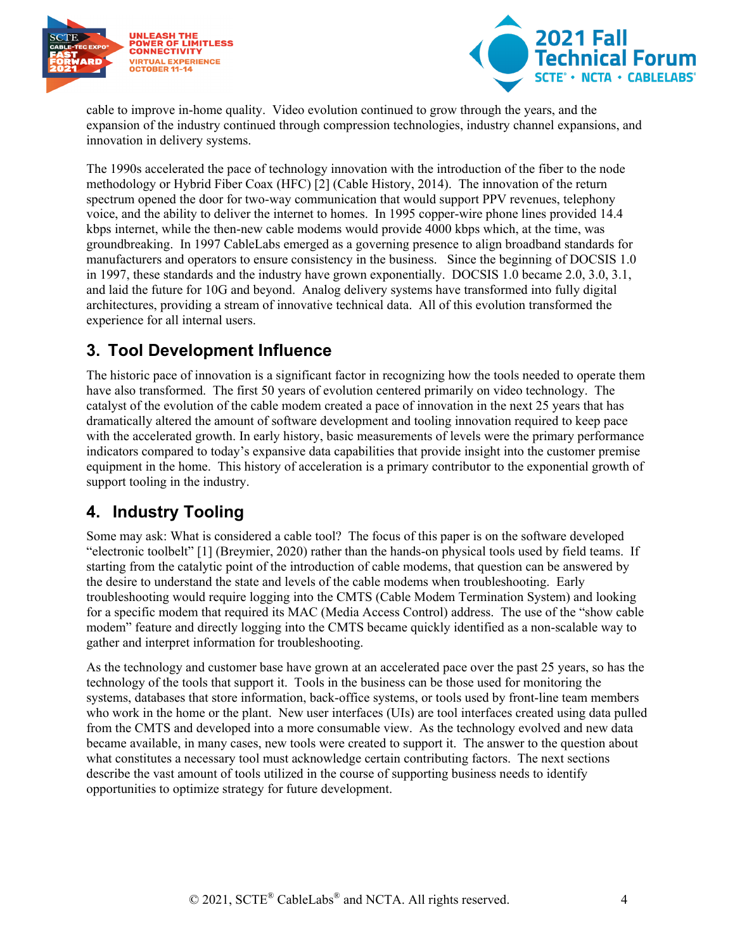



cable to improve in-home quality. Video evolution continued to grow through the years, and the expansion of the industry continued through compression technologies, industry channel expansions, and innovation in delivery systems.

The 1990s accelerated the pace of technology innovation with the introduction of the fiber to the node methodology or Hybrid Fiber Coax (HFC) [2] (Cable History, 2014). The innovation of the return spectrum opened the door for two-way communication that would support PPV revenues, telephony voice, and the ability to deliver the internet to homes. In 1995 copper-wire phone lines provided 14.4 kbps internet, while the then-new cable modems would provide 4000 kbps which, at the time, was groundbreaking. In 1997 CableLabs emerged as a governing presence to align broadband standards for manufacturers and operators to ensure consistency in the business. Since the beginning of DOCSIS 1.0 in 1997, these standards and the industry have grown exponentially. DOCSIS 1.0 became 2.0, 3.0, 3.1, and laid the future for 10G and beyond. Analog delivery systems have transformed into fully digital architectures, providing a stream of innovative technical data. All of this evolution transformed the experience for all internal users.

## <span id="page-3-0"></span>**3. Tool Development Influence**

The historic pace of innovation is a significant factor in recognizing how the tools needed to operate them have also transformed. The first 50 years of evolution centered primarily on video technology. The catalyst of the evolution of the cable modem created a pace of innovation in the next 25 years that has dramatically altered the amount of software development and tooling innovation required to keep pace with the accelerated growth. In early history, basic measurements of levels were the primary performance indicators compared to today's expansive data capabilities that provide insight into the customer premise equipment in the home. This history of acceleration is a primary contributor to the exponential growth of support tooling in the industry.

### <span id="page-3-1"></span>**4. Industry Tooling**

Some may ask: What is considered a cable tool? The focus of this paper is on the software developed "electronic toolbelt" [1] (Breymier, 2020) rather than the hands-on physical tools used by field teams. If starting from the catalytic point of the introduction of cable modems, that question can be answered by the desire to understand the state and levels of the cable modems when troubleshooting. Early troubleshooting would require logging into the CMTS (Cable Modem Termination System) and looking for a specific modem that required its MAC (Media Access Control) address. The use of the "show cable modem" feature and directly logging into the CMTS became quickly identified as a non-scalable way to gather and interpret information for troubleshooting.

As the technology and customer base have grown at an accelerated pace over the past 25 years, so has the technology of the tools that support it. Tools in the business can be those used for monitoring the systems, databases that store information, back-office systems, or tools used by front-line team members who work in the home or the plant. New user interfaces (UIs) are tool interfaces created using data pulled from the CMTS and developed into a more consumable view. As the technology evolved and new data became available, in many cases, new tools were created to support it. The answer to the question about what constitutes a necessary tool must acknowledge certain contributing factors. The next sections describe the vast amount of tools utilized in the course of supporting business needs to identify opportunities to optimize strategy for future development.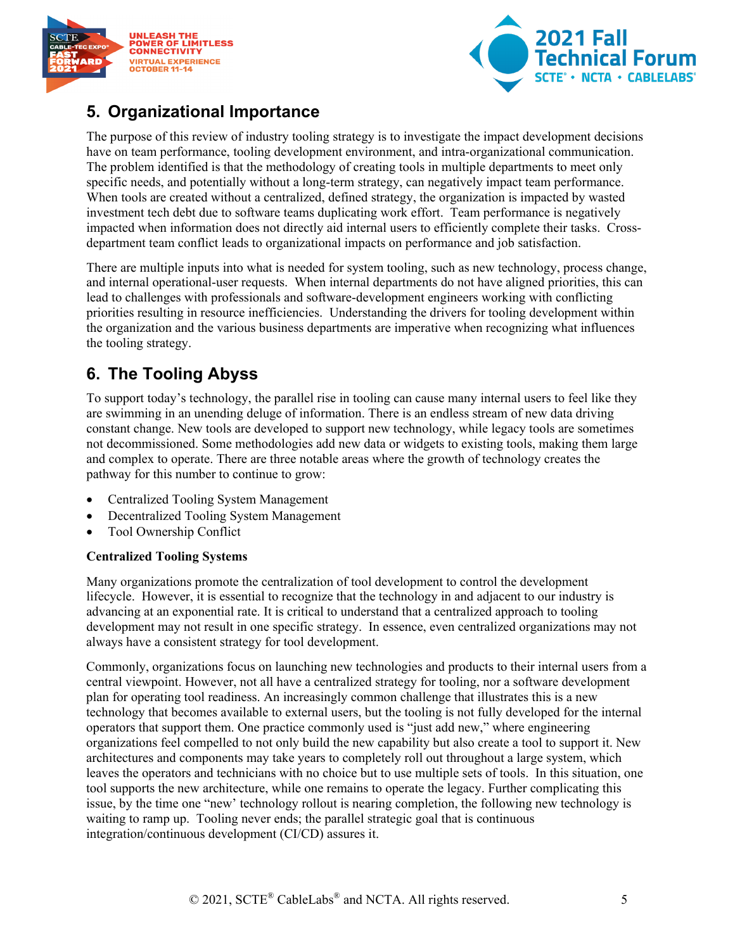



## <span id="page-4-0"></span>**5. Organizational Importance**

The purpose of this review of industry tooling strategy is to investigate the impact development decisions have on team performance, tooling development environment, and intra-organizational communication. The problem identified is that the methodology of creating tools in multiple departments to meet only specific needs, and potentially without a long-term strategy, can negatively impact team performance. When tools are created without a centralized, defined strategy, the organization is impacted by wasted investment tech debt due to software teams duplicating work effort. Team performance is negatively impacted when information does not directly aid internal users to efficiently complete their tasks. Crossdepartment team conflict leads to organizational impacts on performance and job satisfaction.

There are multiple inputs into what is needed for system tooling, such as new technology, process change, and internal operational-user requests. When internal departments do not have aligned priorities, this can lead to challenges with professionals and software-development engineers working with conflicting priorities resulting in resource inefficiencies. Understanding the drivers for tooling development within the organization and the various business departments are imperative when recognizing what influences the tooling strategy.

# <span id="page-4-1"></span>**6. The Tooling Abyss**

To support today's technology, the parallel rise in tooling can cause many internal users to feel like they are swimming in an unending deluge of information. There is an endless stream of new data driving constant change. New tools are developed to support new technology, while legacy tools are sometimes not decommissioned. Some methodologies add new data or widgets to existing tools, making them large and complex to operate. There are three notable areas where the growth of technology creates the pathway for this number to continue to grow:

- Centralized Tooling System Management
- Decentralized Tooling System Management
- Tool Ownership Conflict

#### **Centralized Tooling Systems**

Many organizations promote the centralization of tool development to control the development lifecycle. However, it is essential to recognize that the technology in and adjacent to our industry is advancing at an exponential rate. It is critical to understand that a centralized approach to tooling development may not result in one specific strategy. In essence, even centralized organizations may not always have a consistent strategy for tool development.

Commonly, organizations focus on launching new technologies and products to their internal users from a central viewpoint. However, not all have a centralized strategy for tooling, nor a software development plan for operating tool readiness. An increasingly common challenge that illustrates this is a new technology that becomes available to external users, but the tooling is not fully developed for the internal operators that support them. One practice commonly used is "just add new," where engineering organizations feel compelled to not only build the new capability but also create a tool to support it. New architectures and components may take years to completely roll out throughout a large system, which leaves the operators and technicians with no choice but to use multiple sets of tools. In this situation, one tool supports the new architecture, while one remains to operate the legacy. Further complicating this issue, by the time one "new' technology rollout is nearing completion, the following new technology is waiting to ramp up. Tooling never ends; the parallel strategic goal that is continuous integration/continuous development (CI/CD) assures it.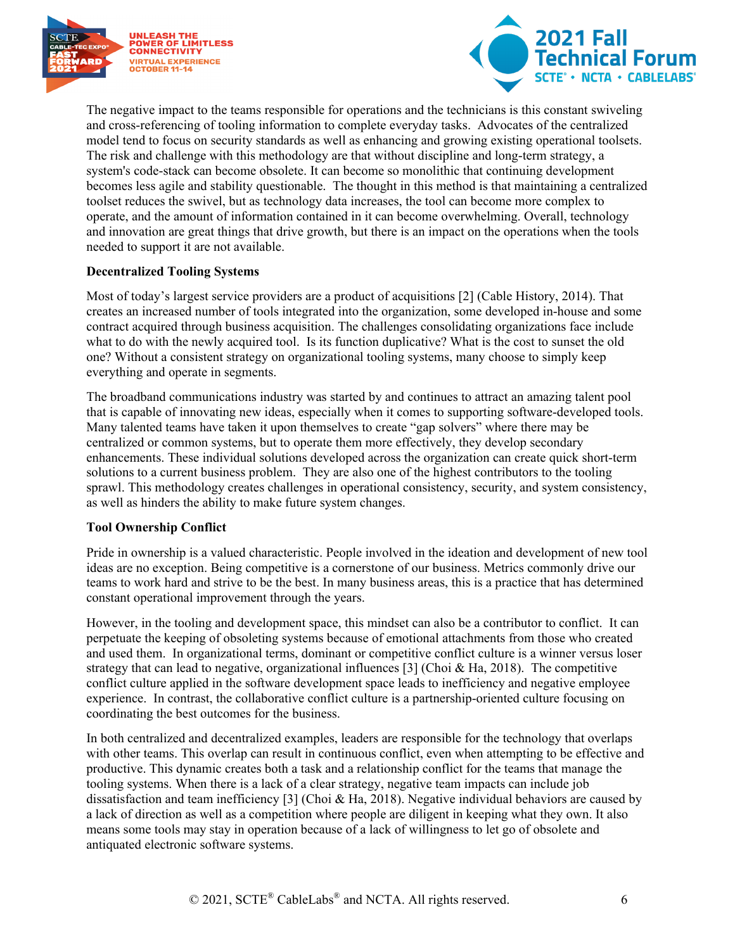



The negative impact to the teams responsible for operations and the technicians is this constant swiveling and cross-referencing of tooling information to complete everyday tasks. Advocates of the centralized model tend to focus on security standards as well as enhancing and growing existing operational toolsets. The risk and challenge with this methodology are that without discipline and long-term strategy, a system's code-stack can become obsolete. It can become so monolithic that continuing development becomes less agile and stability questionable. The thought in this method is that maintaining a centralized toolset reduces the swivel, but as technology data increases, the tool can become more complex to operate, and the amount of information contained in it can become overwhelming. Overall, technology and innovation are great things that drive growth, but there is an impact on the operations when the tools needed to support it are not available.

#### **Decentralized Tooling Systems**

Most of today's largest service providers are a product of acquisitions [2] (Cable History, 2014). That creates an increased number of tools integrated into the organization, some developed in-house and some contract acquired through business acquisition. The challenges consolidating organizations face include what to do with the newly acquired tool. Is its function duplicative? What is the cost to sunset the old one? Without a consistent strategy on organizational tooling systems, many choose to simply keep everything and operate in segments.

The broadband communications industry was started by and continues to attract an amazing talent pool that is capable of innovating new ideas, especially when it comes to supporting software-developed tools. Many talented teams have taken it upon themselves to create "gap solvers" where there may be centralized or common systems, but to operate them more effectively, they develop secondary enhancements. These individual solutions developed across the organization can create quick short-term solutions to a current business problem. They are also one of the highest contributors to the tooling sprawl. This methodology creates challenges in operational consistency, security, and system consistency, as well as hinders the ability to make future system changes.

#### **Tool Ownership Conflict**

Pride in ownership is a valued characteristic. People involved in the ideation and development of new tool ideas are no exception. Being competitive is a cornerstone of our business. Metrics commonly drive our teams to work hard and strive to be the best. In many business areas, this is a practice that has determined constant operational improvement through the years.

However, in the tooling and development space, this mindset can also be a contributor to conflict. It can perpetuate the keeping of obsoleting systems because of emotional attachments from those who created and used them. In organizational terms, dominant or competitive conflict culture is a winner versus loser strategy that can lead to negative, organizational influences [3] (Choi  $\&$  Ha, 2018). The competitive conflict culture applied in the software development space leads to inefficiency and negative employee experience. In contrast, the collaborative conflict culture is a partnership-oriented culture focusing on coordinating the best outcomes for the business.

In both centralized and decentralized examples, leaders are responsible for the technology that overlaps with other teams. This overlap can result in continuous conflict, even when attempting to be effective and productive. This dynamic creates both a task and a relationship conflict for the teams that manage the tooling systems. When there is a lack of a clear strategy, negative team impacts can include job dissatisfaction and team inefficiency [3] (Choi & Ha, 2018). Negative individual behaviors are caused by a lack of direction as well as a competition where people are diligent in keeping what they own. It also means some tools may stay in operation because of a lack of willingness to let go of obsolete and antiquated electronic software systems.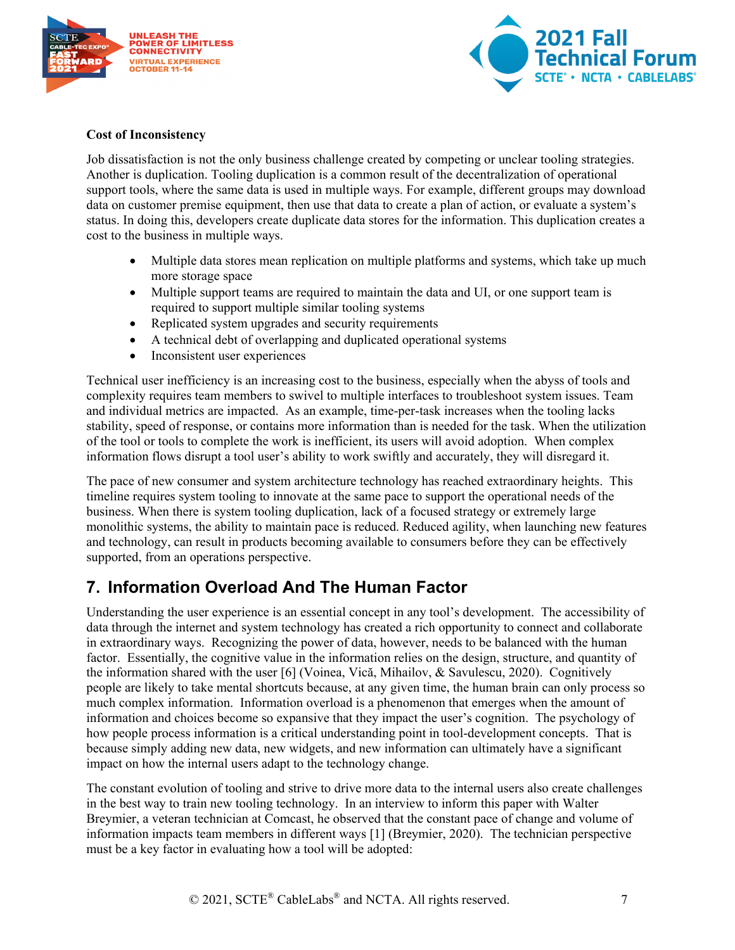



#### **Cost of Inconsistency**

Job dissatisfaction is not the only business challenge created by competing or unclear tooling strategies. Another is duplication. Tooling duplication is a common result of the decentralization of operational support tools, where the same data is used in multiple ways. For example, different groups may download data on customer premise equipment, then use that data to create a plan of action, or evaluate a system's status. In doing this, developers create duplicate data stores for the information. This duplication creates a cost to the business in multiple ways.

- Multiple data stores mean replication on multiple platforms and systems, which take up much more storage space
- Multiple support teams are required to maintain the data and UI, or one support team is required to support multiple similar tooling systems
- Replicated system upgrades and security requirements
- A technical debt of overlapping and duplicated operational systems
- Inconsistent user experiences

Technical user inefficiency is an increasing cost to the business, especially when the abyss of tools and complexity requires team members to swivel to multiple interfaces to troubleshoot system issues. Team and individual metrics are impacted. As an example, time-per-task increases when the tooling lacks stability, speed of response, or contains more information than is needed for the task. When the utilization of the tool or tools to complete the work is inefficient, its users will avoid adoption. When complex information flows disrupt a tool user's ability to work swiftly and accurately, they will disregard it.

The pace of new consumer and system architecture technology has reached extraordinary heights. This timeline requires system tooling to innovate at the same pace to support the operational needs of the business. When there is system tooling duplication, lack of a focused strategy or extremely large monolithic systems, the ability to maintain pace is reduced. Reduced agility, when launching new features and technology, can result in products becoming available to consumers before they can be effectively supported, from an operations perspective.

### <span id="page-6-0"></span>**7. Information Overload And The Human Factor**

Understanding the user experience is an essential concept in any tool's development. The accessibility of data through the internet and system technology has created a rich opportunity to connect and collaborate in extraordinary ways. Recognizing the power of data, however, needs to be balanced with the human factor. Essentially, the cognitive value in the information relies on the design, structure, and quantity of the information shared with the user [6] (Voinea, Vică, Mihailov, & Savulescu, 2020). Cognitively people are likely to take mental shortcuts because, at any given time, the human brain can only process so much complex information. Information overload is a phenomenon that emerges when the amount of information and choices become so expansive that they impact the user's cognition. The psychology of how people process information is a critical understanding point in tool-development concepts. That is because simply adding new data, new widgets, and new information can ultimately have a significant impact on how the internal users adapt to the technology change.

The constant evolution of tooling and strive to drive more data to the internal users also create challenges in the best way to train new tooling technology. In an interview to inform this paper with Walter Breymier, a veteran technician at Comcast, he observed that the constant pace of change and volume of information impacts team members in different ways [1] (Breymier, 2020). The technician perspective must be a key factor in evaluating how a tool will be adopted: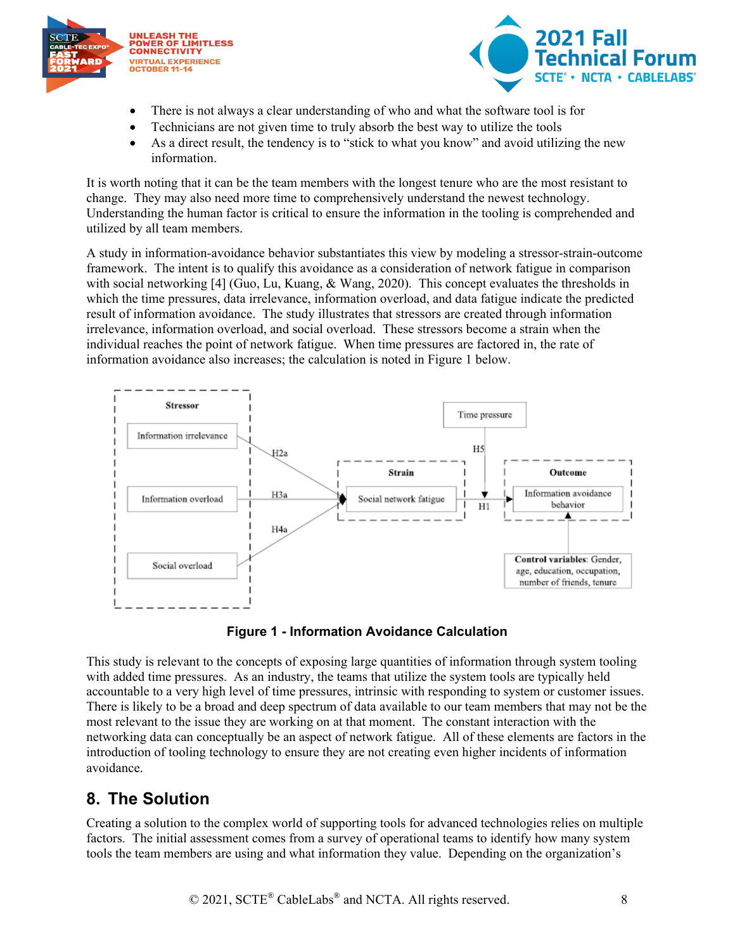



- There is not always a clear understanding of who and what the software tool is for
- Technicians are not given time to truly absorb the best way to utilize the tools
- As a direct result, the tendency is to "stick to what you know" and avoid utilizing the new information.

It is worth noting that it can be the team members with the longest tenure who are the most resistant to change. They may also need more time to comprehensively understand the newest technology. Understanding the human factor is critical to ensure the information in the tooling is comprehended and utilized by all team members.

A study in information-avoidance behavior substantiates this view by modeling a stressor-strain-outcome framework. The intent is to qualify this avoidance as a consideration of network fatigue in comparison with social networking [4] (Guo, Lu, Kuang, & Wang, 2020). This concept evaluates the thresholds in which the time pressures, data irrelevance, information overload, and data fatigue indicate the predicted result of information avoidance. The study illustrates that stressors are created through information irrelevance, information overload, and social overload. These stressors become a strain when the individual reaches the point of network fatigue. When time pressures are factored in, the rate of information avoidance also increases; the calculation is noted in Figure 1 below.



**Figure 1 - Information Avoidance Calculation** 

<span id="page-7-1"></span>This study is relevant to the concepts of exposing large quantities of information through system tooling with added time pressures. As an industry, the teams that utilize the system tools are typically held accountable to a very high level of time pressures, intrinsic with responding to system or customer issues. There is likely to be a broad and deep spectrum of data available to our team members that may not be the most relevant to the issue they are working on at that moment. The constant interaction with the networking data can conceptually be an aspect of network fatigue. All of these elements are factors in the introduction of tooling technology to ensure they are not creating even higher incidents of information avoidance.

## <span id="page-7-0"></span>**8. The Solution**

Creating a solution to the complex world of supporting tools for advanced technologies relies on multiple factors. The initial assessment comes from a survey of operational teams to identify how many system tools the team members are using and what information they value. Depending on the organization's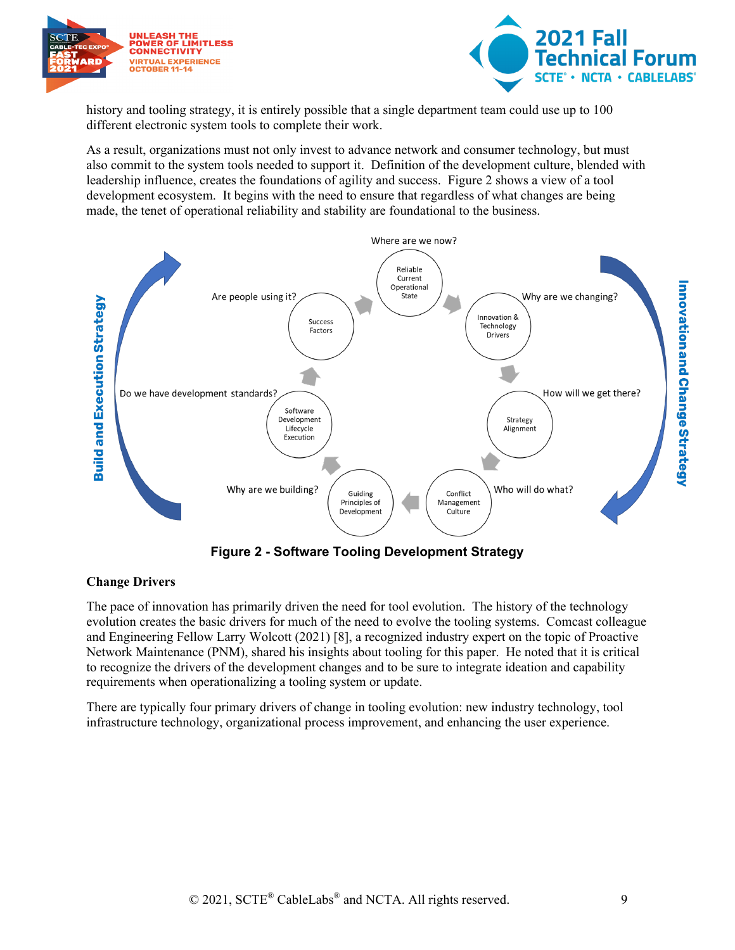



history and tooling strategy, it is entirely possible that a single department team could use up to 100 different electronic system tools to complete their work.

As a result, organizations must not only invest to advance network and consumer technology, but must also commit to the system tools needed to support it. Definition of the development culture, blended with leadership influence, creates the foundations of agility and success. Figure 2 shows a view of a tool development ecosystem. It begins with the need to ensure that regardless of what changes are being made, the tenet of operational reliability and stability are foundational to the business.



#### <span id="page-8-0"></span>**Change Drivers**

The pace of innovation has primarily driven the need for tool evolution. The history of the technology evolution creates the basic drivers for much of the need to evolve the tooling systems. Comcast colleague and Engineering Fellow Larry Wolcott (2021) [8], a recognized industry expert on the topic of Proactive Network Maintenance (PNM), shared his insights about tooling for this paper. He noted that it is critical to recognize the drivers of the development changes and to be sure to integrate ideation and capability requirements when operationalizing a tooling system or update.

There are typically four primary drivers of change in tooling evolution: new industry technology, tool infrastructure technology, organizational process improvement, and enhancing the user experience.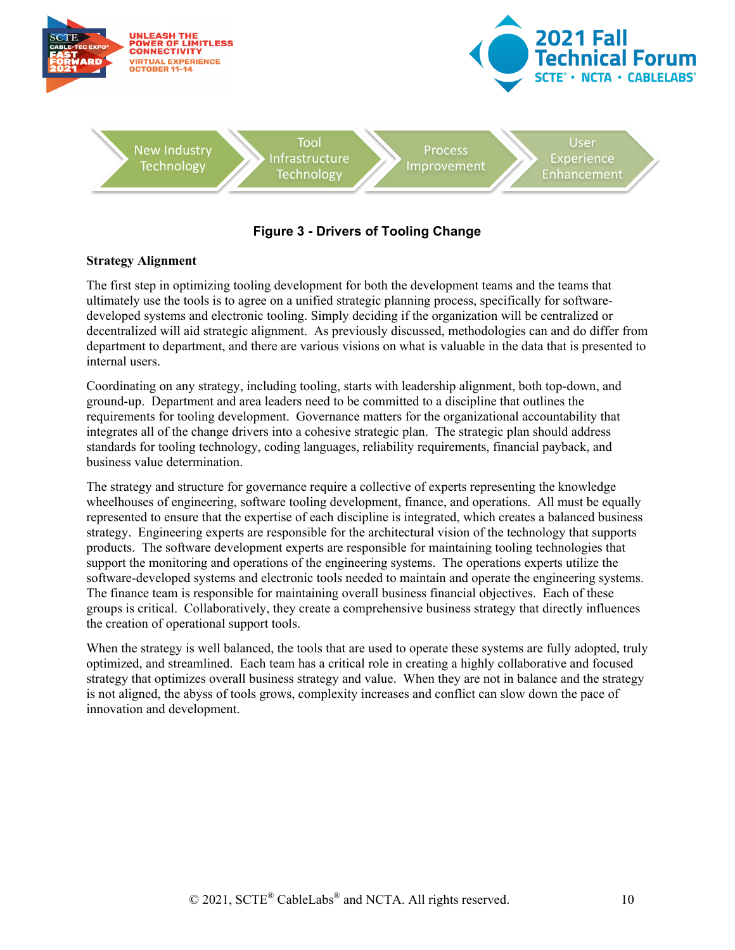

#### **Figure 3 - Drivers of Tooling Change**

#### <span id="page-9-0"></span>**Strategy Alignment**

The first step in optimizing tooling development for both the development teams and the teams that ultimately use the tools is to agree on a unified strategic planning process, specifically for softwaredeveloped systems and electronic tooling. Simply deciding if the organization will be centralized or decentralized will aid strategic alignment. As previously discussed, methodologies can and do differ from department to department, and there are various visions on what is valuable in the data that is presented to internal users.

Coordinating on any strategy, including tooling, starts with leadership alignment, both top-down, and ground-up. Department and area leaders need to be committed to a discipline that outlines the requirements for tooling development. Governance matters for the organizational accountability that integrates all of the change drivers into a cohesive strategic plan. The strategic plan should address standards for tooling technology, coding languages, reliability requirements, financial payback, and business value determination.

The strategy and structure for governance require a collective of experts representing the knowledge wheelhouses of engineering, software tooling development, finance, and operations. All must be equally represented to ensure that the expertise of each discipline is integrated, which creates a balanced business strategy. Engineering experts are responsible for the architectural vision of the technology that supports products. The software development experts are responsible for maintaining tooling technologies that support the monitoring and operations of the engineering systems. The operations experts utilize the software-developed systems and electronic tools needed to maintain and operate the engineering systems. The finance team is responsible for maintaining overall business financial objectives. Each of these groups is critical. Collaboratively, they create a comprehensive business strategy that directly influences the creation of operational support tools.

When the strategy is well balanced, the tools that are used to operate these systems are fully adopted, truly optimized, and streamlined. Each team has a critical role in creating a highly collaborative and focused strategy that optimizes overall business strategy and value. When they are not in balance and the strategy is not aligned, the abyss of tools grows, complexity increases and conflict can slow down the pace of innovation and development.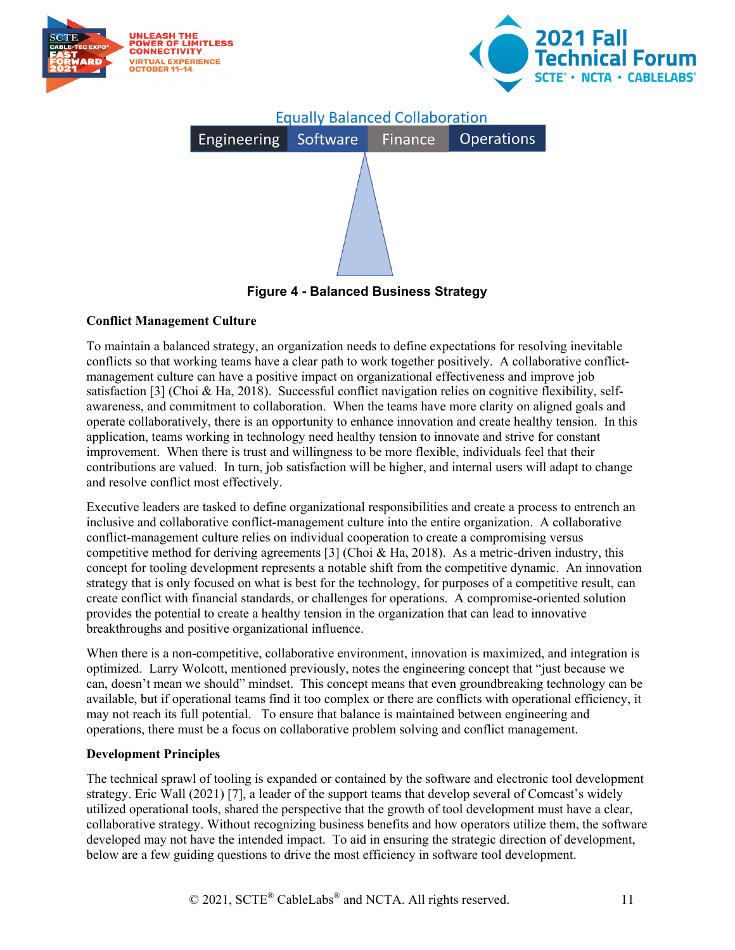

**Figure 4 - Balanced Business Strategy**

#### <span id="page-10-0"></span>**Conflict Management Culture**

To maintain a balanced strategy, an organization needs to define expectations for resolving inevitable conflicts so that working teams have a clear path to work together positively. A collaborative conflictmanagement culture can have a positive impact on organizational effectiveness and improve job satisfaction [3] (Choi & Ha, 2018). Successful conflict navigation relies on cognitive flexibility, selfawareness, and commitment to collaboration. When the teams have more clarity on aligned goals and operate collaboratively, there is an opportunity to enhance innovation and create healthy tension. In this application, teams working in technology need healthy tension to innovate and strive for constant improvement. When there is trust and willingness to be more flexible, individuals feel that their contributions are valued. In turn, job satisfaction will be higher, and internal users will adapt to change and resolve conflict most effectively.

Executive leaders are tasked to define organizational responsibilities and create a process to entrench an inclusive and collaborative conflict-management culture into the entire organization. A collaborative conflict-management culture relies on individual cooperation to create a compromising versus competitive method for deriving agreements [3] (Choi & Ha, 2018). As a metric-driven industry, this concept for tooling development represents a notable shift from the competitive dynamic. An innovation strategy that is only focused on what is best for the technology, for purposes of a competitive result, can create conflict with financial standards, or challenges for operations. A compromise-oriented solution provides the potential to create a healthy tension in the organization that can lead to innovative breakthroughs and positive organizational influence.

When there is a non-competitive, collaborative environment, innovation is maximized, and integration is optimized. Larry Wolcott, mentioned previously, notes the engineering concept that "just because we can, doesn't mean we should" mindset. This concept means that even groundbreaking technology can be available, but if operational teams find it too complex or there are conflicts with operational efficiency, it may not reach its full potential. To ensure that balance is maintained between engineering and operations, there must be a focus on collaborative problem solving and conflict management.

#### **Development Principles**

The technical sprawl of tooling is expanded or contained by the software and electronic tool development strategy. Eric Wall (2021) [7], a leader of the support teams that develop several of Comcast's widely utilized operational tools, shared the perspective that the growth of tool development must have a clear, collaborative strategy. Without recognizing business benefits and how operators utilize them, the software developed may not have the intended impact. To aid in ensuring the strategic direction of development, below are a few guiding questions to drive the most efficiency in software tool development.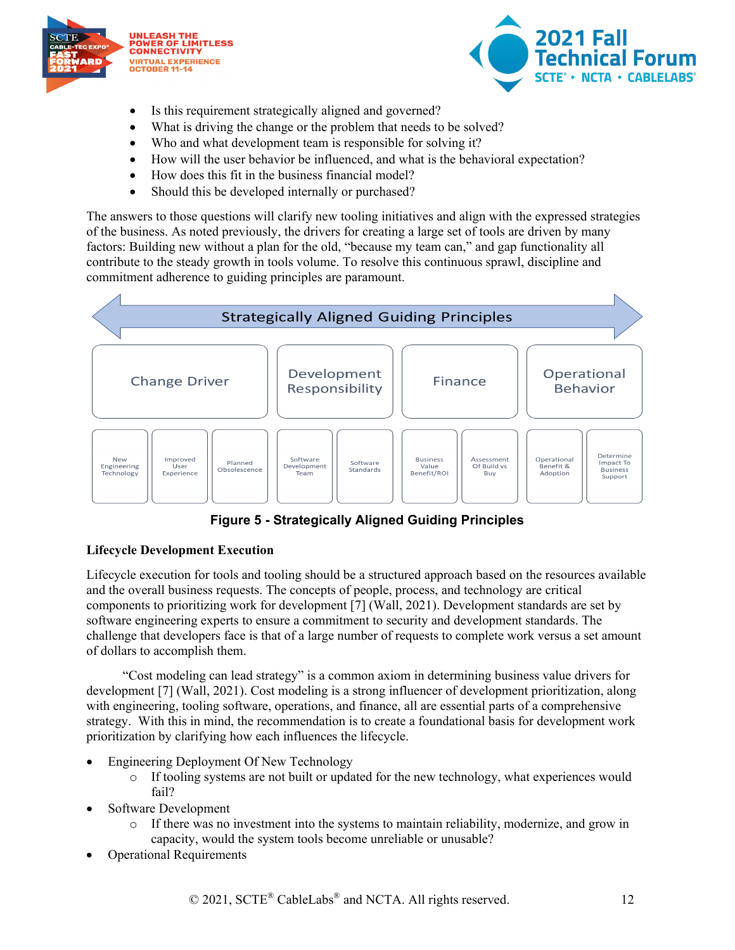



- Is this requirement strategically aligned and governed?
- What is driving the change or the problem that needs to be solved?
- Who and what development team is responsible for solving it?
- How will the user behavior be influenced, and what is the behavioral expectation?
- How does this fit in the business financial model?
- Should this be developed internally or purchased?

The answers to those questions will clarify new tooling initiatives and align with the expressed strategies of the business. As noted previously, the drivers for creating a large set of tools are driven by many factors: Building new without a plan for the old, "because my team can," and gap functionality all contribute to the steady growth in tools volume. To resolve this continuous sprawl, discipline and commitment adherence to guiding principles are paramount.



**Figure 5 - Strategically Aligned Guiding Principles**

#### <span id="page-11-0"></span>**Lifecycle Development Execution**

Lifecycle execution for tools and tooling should be a structured approach based on the resources available and the overall business requests. The concepts of people, process, and technology are critical components to prioritizing work for development [7] (Wall, 2021). Development standards are set by software engineering experts to ensure a commitment to security and development standards. The challenge that developers face is that of a large number of requests to complete work versus a set amount of dollars to accomplish them.

"Cost modeling can lead strategy" is a common axiom in determining business value drivers for development [7] (Wall, 2021). Cost modeling is a strong influencer of development prioritization, along with engineering, tooling software, operations, and finance, all are essential parts of a comprehensive strategy. With this in mind, the recommendation is to create a foundational basis for development work prioritization by clarifying how each influences the lifecycle.

- Engineering Deployment Of New Technology
	- o If tooling systems are not built or updated for the new technology, what experiences would fail?
- Software Development
	- o If there was no investment into the systems to maintain reliability, modernize, and grow in capacity, would the system tools become unreliable or unusable?
- Operational Requirements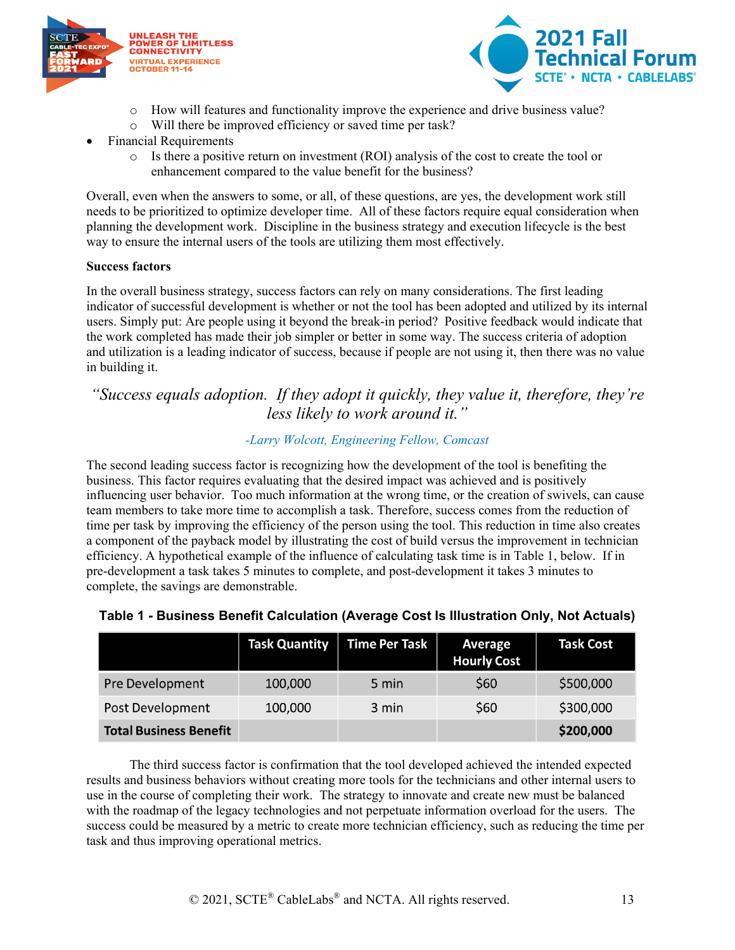



- o How will features and functionality improve the experience and drive business value?
- o Will there be improved efficiency or saved time per task?
- Financial Requirements
	- o Is there a positive return on investment (ROI) analysis of the cost to create the tool or enhancement compared to the value benefit for the business?

Overall, even when the answers to some, or all, of these questions, are yes, the development work still needs to be prioritized to optimize developer time. All of these factors require equal consideration when planning the development work. Discipline in the business strategy and execution lifecycle is the best way to ensure the internal users of the tools are utilizing them most effectively.

#### **Success factors**

In the overall business strategy, success factors can rely on many considerations. The first leading indicator of successful development is whether or not the tool has been adopted and utilized by its internal users. Simply put: Are people using it beyond the break-in period? Positive feedback would indicate that the work completed has made their job simpler or better in some way. The success criteria of adoption and utilization is a leading indicator of success, because if people are not using it, then there was no value in building it.

### *"Success equals adoption. If they adopt it quickly, they value it, therefore, they're less likely to work around it."*

#### *-Larry Wolcott, Engineering Fellow, Comcast*

The second leading success factor is recognizing how the development of the tool is benefiting the business. This factor requires evaluating that the desired impact was achieved and is positively influencing user behavior. Too much information at the wrong time, or the creation of swivels, can cause team members to take more time to accomplish a task. Therefore, success comes from the reduction of time per task by improving the efficiency of the person using the tool. This reduction in time also creates a component of the payback model by illustrating the cost of build versus the improvement in technician efficiency. A hypothetical example of the influence of calculating task time is in Table 1, below. If in pre-development a task takes 5 minutes to complete, and post-development it takes 3 minutes to complete, the savings are demonstrable.

|                               | <b>Task Quantity</b> | <b>Time Per Task</b> | Average<br><b>Hourly Cost</b> | <b>Task Cost</b> |
|-------------------------------|----------------------|----------------------|-------------------------------|------------------|
| Pre Development               | 100,000              | 5 min                | \$60                          | \$500,000        |
| Post Development              | 100,000              | 3 min                | <b>S60</b>                    | \$300,000        |
| <b>Total Business Benefit</b> |                      |                      |                               | \$200,000        |

#### <span id="page-12-0"></span>**Table 1 - Business Benefit Calculation (Average Cost Is Illustration Only, Not Actuals)**

The third success factor is confirmation that the tool developed achieved the intended expected results and business behaviors without creating more tools for the technicians and other internal users to use in the course of completing their work. The strategy to innovate and create new must be balanced with the roadmap of the legacy technologies and not perpetuate information overload for the users. The success could be measured by a metric to create more technician efficiency, such as reducing the time per task and thus improving operational metrics.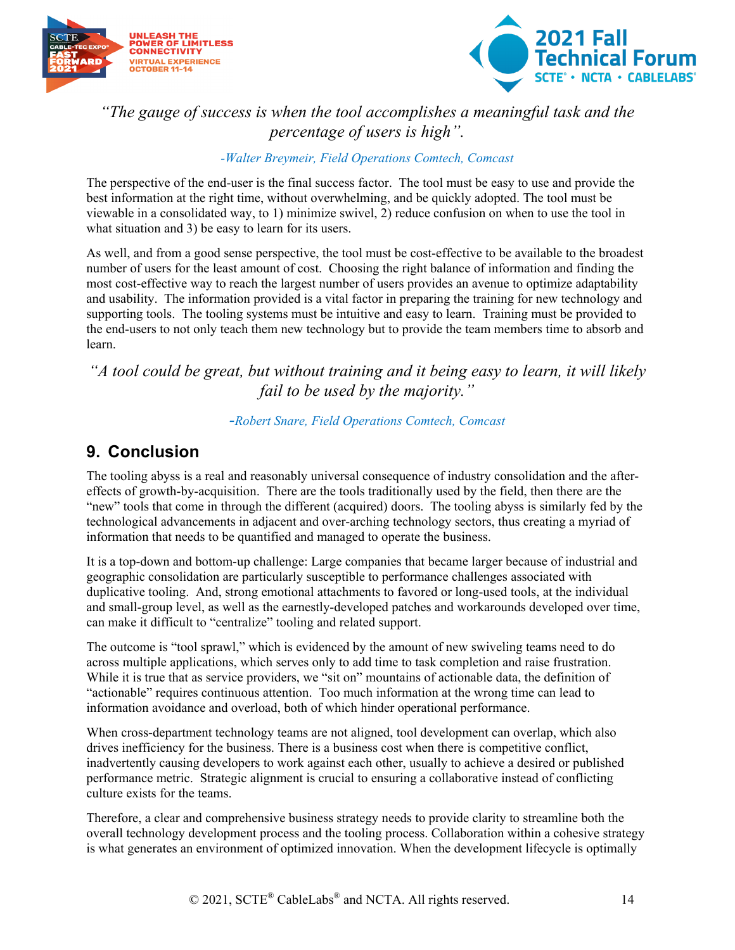



### *"The gauge of success is when the tool accomplishes a meaningful task and the percentage of users is high".*

#### *-Walter Breymeir, Field Operations Comtech, Comcast*

The perspective of the end-user is the final success factor. The tool must be easy to use and provide the best information at the right time, without overwhelming, and be quickly adopted. The tool must be viewable in a consolidated way, to 1) minimize swivel, 2) reduce confusion on when to use the tool in what situation and 3) be easy to learn for its users.

As well, and from a good sense perspective, the tool must be cost-effective to be available to the broadest number of users for the least amount of cost. Choosing the right balance of information and finding the most cost-effective way to reach the largest number of users provides an avenue to optimize adaptability and usability. The information provided is a vital factor in preparing the training for new technology and supporting tools. The tooling systems must be intuitive and easy to learn. Training must be provided to the end-users to not only teach them new technology but to provide the team members time to absorb and learn.

### *"A tool could be great, but without training and it being easy to learn, it will likely fail to be used by the majority."*

#### *-Robert Snare, Field Operations Comtech, Comcast*

### <span id="page-13-0"></span>**9. Conclusion**

The tooling abyss is a real and reasonably universal consequence of industry consolidation and the aftereffects of growth-by-acquisition. There are the tools traditionally used by the field, then there are the "new" tools that come in through the different (acquired) doors. The tooling abyss is similarly fed by the technological advancements in adjacent and over-arching technology sectors, thus creating a myriad of information that needs to be quantified and managed to operate the business.

It is a top-down and bottom-up challenge: Large companies that became larger because of industrial and geographic consolidation are particularly susceptible to performance challenges associated with duplicative tooling. And, strong emotional attachments to favored or long-used tools, at the individual and small-group level, as well as the earnestly-developed patches and workarounds developed over time, can make it difficult to "centralize" tooling and related support.

The outcome is "tool sprawl," which is evidenced by the amount of new swiveling teams need to do across multiple applications, which serves only to add time to task completion and raise frustration. While it is true that as service providers, we "sit on" mountains of actionable data, the definition of "actionable" requires continuous attention. Too much information at the wrong time can lead to information avoidance and overload, both of which hinder operational performance.

When cross-department technology teams are not aligned, tool development can overlap, which also drives inefficiency for the business. There is a business cost when there is competitive conflict, inadvertently causing developers to work against each other, usually to achieve a desired or published performance metric. Strategic alignment is crucial to ensuring a collaborative instead of conflicting culture exists for the teams.

Therefore, a clear and comprehensive business strategy needs to provide clarity to streamline both the overall technology development process and the tooling process. Collaboration within a cohesive strategy is what generates an environment of optimized innovation. When the development lifecycle is optimally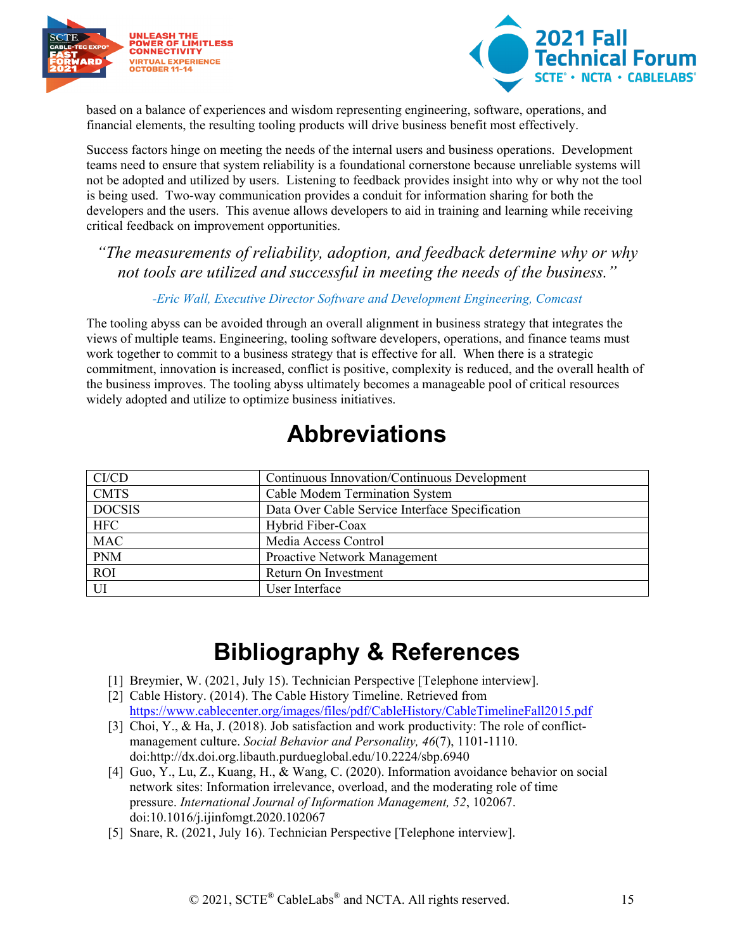



based on a balance of experiences and wisdom representing engineering, software, operations, and financial elements, the resulting tooling products will drive business benefit most effectively.

Success factors hinge on meeting the needs of the internal users and business operations. Development teams need to ensure that system reliability is a foundational cornerstone because unreliable systems will not be adopted and utilized by users. Listening to feedback provides insight into why or why not the tool is being used. Two-way communication provides a conduit for information sharing for both the developers and the users. This avenue allows developers to aid in training and learning while receiving critical feedback on improvement opportunities.

### *"The measurements of reliability, adoption, and feedback determine why or why not tools are utilized and successful in meeting the needs of the business."*

#### *-Eric Wall, Executive Director Software and Development Engineering, Comcast*

The tooling abyss can be avoided through an overall alignment in business strategy that integrates the views of multiple teams. Engineering, tooling software developers, operations, and finance teams must work together to commit to a business strategy that is effective for all. When there is a strategic commitment, innovation is increased, conflict is positive, complexity is reduced, and the overall health of the business improves. The tooling abyss ultimately becomes a manageable pool of critical resources widely adopted and utilize to optimize business initiatives.

# **Abbreviations**

<span id="page-14-0"></span>

| CI/CD         | Continuous Innovation/Continuous Development    |
|---------------|-------------------------------------------------|
| <b>CMTS</b>   | Cable Modem Termination System                  |
| <b>DOCSIS</b> | Data Over Cable Service Interface Specification |
| <b>HFC</b>    | Hybrid Fiber-Coax                               |
| <b>MAC</b>    | Media Access Control                            |
| <b>PNM</b>    | Proactive Network Management                    |
| <b>ROI</b>    | Return On Investment                            |
| UI            | User Interface                                  |

# **Bibliography & References**

- <span id="page-14-1"></span>[1] Breymier, W. (2021, July 15). Technician Perspective [Telephone interview].
- [2] Cable History. (2014). The Cable History Timeline. Retrieved from <https://www.cablecenter.org/images/files/pdf/CableHistory/CableTimelineFall2015.pdf>
- [3] Choi, Y., & Ha, J. (2018). Job satisfaction and work productivity: The role of conflictmanagement culture. *Social Behavior and Personality, 46*(7), 1101-1110. doi:http://dx.doi.org.libauth.purdueglobal.edu/10.2224/sbp.6940
- [4] Guo, Y., Lu, Z., Kuang, H., & Wang, C. (2020). Information avoidance behavior on social network sites: Information irrelevance, overload, and the moderating role of time pressure. *International Journal of Information Management, 52*, 102067. doi:10.1016/j.ijinfomgt.2020.102067
- [5] Snare, R. (2021, July 16). Technician Perspective [Telephone interview].